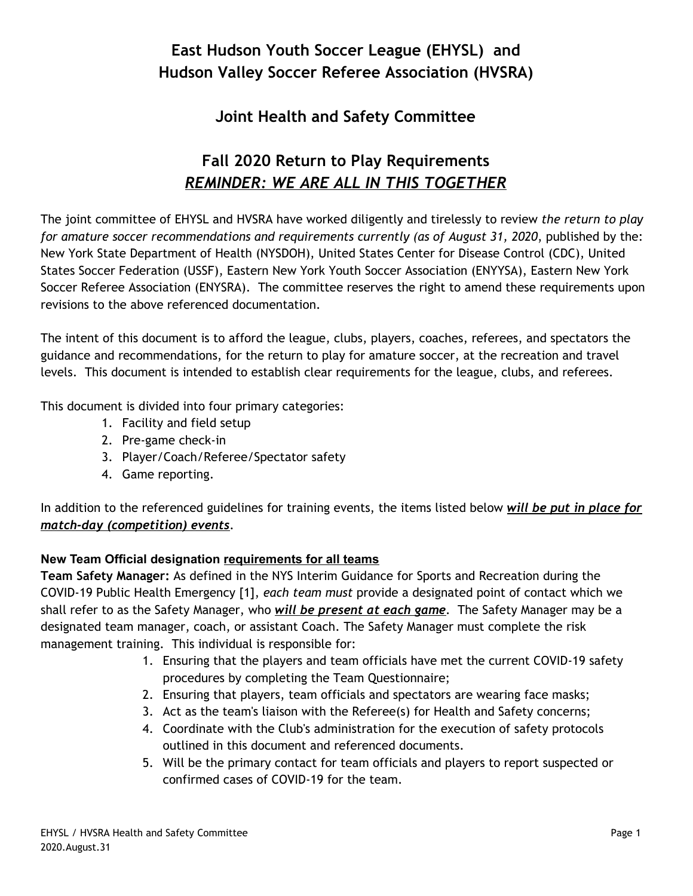#### **East Hudson Youth Soccer League (EHYSL) and Hudson Valley Soccer Referee Association (HVSRA)**

#### **Joint Health and Safety Committee**

#### **Fall 2020 Return to Play Requirements** *REMINDER: WE ARE ALL IN THIS TOGETHER*

The joint committee of EHYSL and HVSRA have worked diligently and tirelessly to review *the return to play for amature soccer recommendations and requirements currently (as of August 31, 2020*, published by the: New York State Department of Health (NYSDOH), United States Center for Disease Control (CDC), United States Soccer Federation (USSF), Eastern New York Youth Soccer Association (ENYYSA), Eastern New York Soccer Referee Association (ENYSRA). The committee reserves the right to amend these requirements upon revisions to the above referenced documentation.

The intent of this document is to afford the league, clubs, players, coaches, referees, and spectators the guidance and recommendations, for the return to play for amature soccer, at the recreation and travel levels. This document is intended to establish clear requirements for the league, clubs, and referees.

This document is divided into four primary categories:

- 1. Facility and field setup
- 2. Pre-game check-in
- 3. Player/Coach/Referee/Spectator safety
- 4. Game reporting.

In addition to the referenced guidelines for training events, the items listed below *will be put in place for match-day (competition) events*.

#### **New Team Official designation requirements for all teams**

**Team Safety Manager:** As defined in the NYS Interim Guidance for Sports and Recreation during the COVID-19 Public Health Emergency [1], *each team must* provide a designated point of contact which we shall refer to as the Safety Manager, who *will be present at each game*. The Safety Manager may be a designated team manager, coach, or assistant Coach. The Safety Manager must complete the risk management training. This individual is responsible for:

- 1. Ensuring that the players and team officials have met the current COVID-19 safety procedures by completing the Team Questionnaire;
- 2. Ensuring that players, team officials and spectators are wearing face masks;
- 3. Act as the team's liaison with the Referee(s) for Health and Safety concerns;
- 4. Coordinate with the Club's administration for the execution of safety protocols outlined in this document and referenced documents.
- 5. Will be the primary contact for team officials and players to report suspected or confirmed cases of COVID-19 for the team.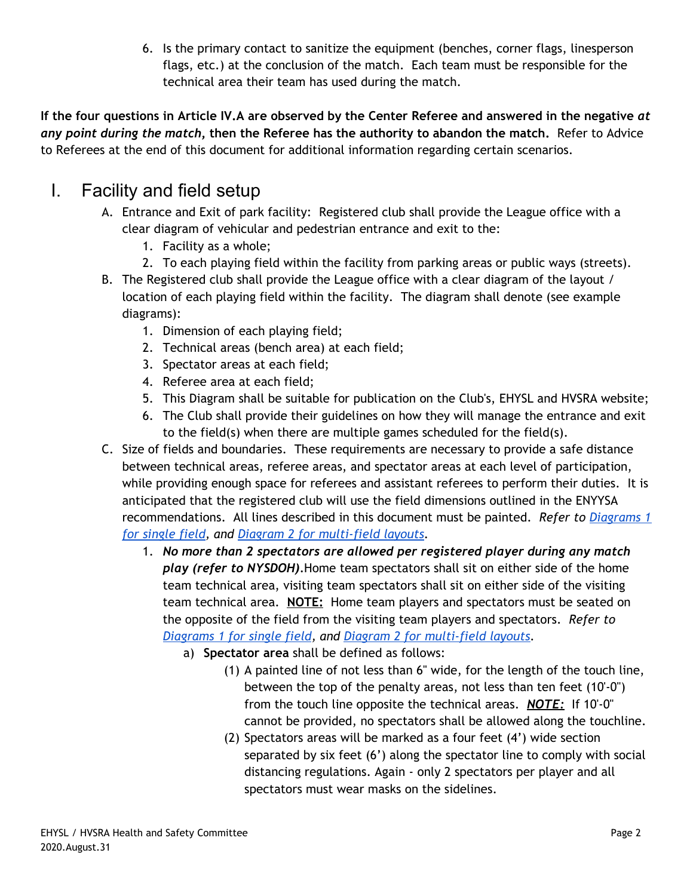6. Is the primary contact to sanitize the equipment (benches, corner flags, linesperson flags, etc.) at the conclusion of the match. Each team must be responsible for the technical area their team has used during the match.

**If the four questions in Article IV.A are observed by the Center Referee and answered in the negative** *at any point during the match***, then the Referee has the authority to abandon the match.** Refer to Advice to Referees at the end of this document for additional information regarding certain scenarios.

## I. Facility and field setup

- A. Entrance and Exit of park facility: Registered club shall provide the League office with a clear diagram of vehicular and pedestrian entrance and exit to the:
	- 1. Facility as a whole;
	- 2. To each playing field within the facility from parking areas or public ways (streets).
- B. The Registered club shall provide the League office with a clear diagram of the layout / location of each playing field within the facility. The diagram shall denote (see example diagrams):
	- 1. Dimension of each playing field;
	- 2. Technical areas (bench area) at each field;
	- 3. Spectator areas at each field;
	- 4. Referee area at each field;
	- 5. This Diagram shall be suitable for publication on the Club's, EHYSL and HVSRA website;
	- 6. The Club shall provide their guidelines on how they will manage the entrance and exit to the field(s) when there are multiple games scheduled for the field(s).
- C. Size of fields and boundaries. These requirements are necessary to provide a safe distance between technical areas, referee areas, and spectator areas at each level of participation, while providing enough space for referees and assistant referees to perform their duties. It is anticipated that the registered club will use the field dimensions outlined in the ENYYSA recommendations. All lines described in this document must be painted. *Refer to [Diagrams](#page-9-0) 1 for [single field,](#page-9-0) and Diagram 2 for multi-field layouts.*
	- 1. *No more than 2 spectators are allowed per registered player during any match play (refer to NYSDOH).*Home team spectators shall sit on either side of the home team technical area, visiting team spectators shall sit on either side of the visiting team technical area. **NOTE:** Home team players and spectators must be seated on the opposite of the field from the visiting team players and spectators. *Refer to Diagrams 1 for [single field](#page-9-0), and Diagram 2 for multi-field layouts.*
		- a) **Spectator area** shall be defined as follows:
			- (1) A painted line of not less than 6" wide, for the length of the touch line, between the top of the penalty areas, not less than ten feet (10'-0") from the touch line opposite the technical areas. *NOTE:* If 10'-0" cannot be provided, no spectators shall be allowed along the touchline.
			- (2) Spectators areas will be marked as a four feet (4') wide section separated by six feet (6') along the spectator line to comply with social distancing regulations. Again - only 2 spectators per player and all spectators must wear masks on the sidelines.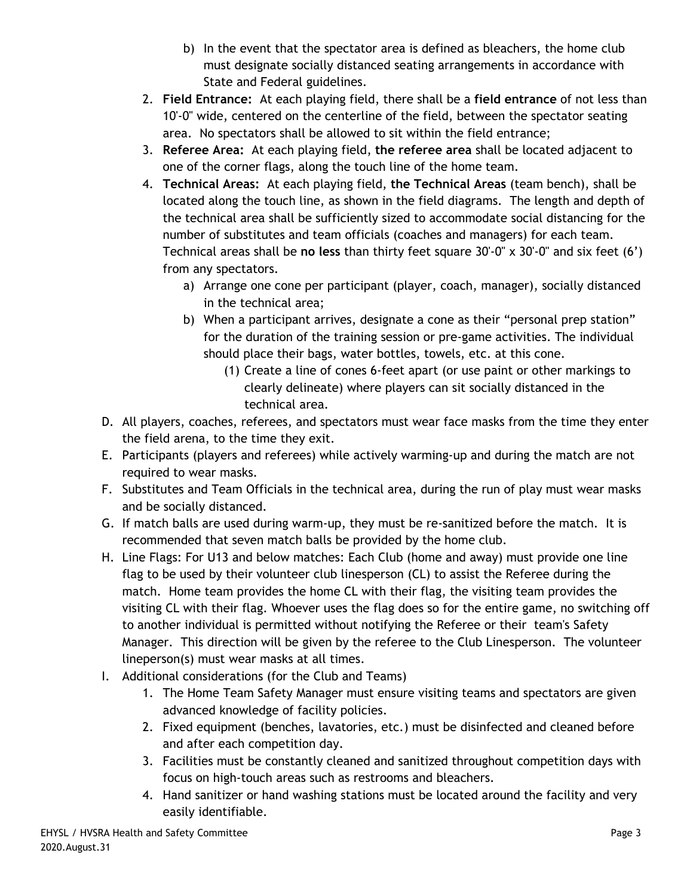- b) In the event that the spectator area is defined as bleachers, the home club must designate socially distanced seating arrangements in accordance with State and Federal guidelines.
- 2. **Field Entrance:** At each playing field, there shall be a **field entrance** of not less than 10'-0" wide, centered on the centerline of the field, between the spectator seating area. No spectators shall be allowed to sit within the field entrance;
- 3. **Referee Area:** At each playing field, **the referee area** shall be located adjacent to one of the corner flags, along the touch line of the home team.
- 4. **Technical Areas:** At each playing field, **the Technical Areas** (team bench), shall be located along the touch line, as shown in the field diagrams. The length and depth of the technical area shall be sufficiently sized to accommodate social distancing for the number of substitutes and team officials (coaches and managers) for each team. Technical areas shall be **no less** than thirty feet square 30'-0" x 30'-0" and six feet (6') from any spectators.
	- a) Arrange one cone per participant (player, coach, manager), socially distanced in the technical area;
	- b) When a participant arrives, designate a cone as their "personal prep station" for the duration of the training session or pre-game activities. The individual should place their bags, water bottles, towels, etc. at this cone.
		- (1) Create a line of cones 6-feet apart (or use paint or other markings to clearly delineate) where players can sit socially distanced in the technical area.
- D. All players, coaches, referees, and spectators must wear face masks from the time they enter the field arena, to the time they exit.
- E. Participants (players and referees) while actively warming-up and during the match are not required to wear masks.
- F. Substitutes and Team Officials in the technical area, during the run of play must wear masks and be socially distanced.
- G. If match balls are used during warm-up, they must be re-sanitized before the match. It is recommended that seven match balls be provided by the home club.
- H. Line Flags: For U13 and below matches: Each Club (home and away) must provide one line flag to be used by their volunteer club linesperson (CL) to assist the Referee during the match. Home team provides the home CL with their flag, the visiting team provides the visiting CL with their flag. Whoever uses the flag does so for the entire game, no switching off to another individual is permitted without notifying the Referee or their team's Safety Manager. This direction will be given by the referee to the Club Linesperson. The volunteer lineperson(s) must wear masks at all times.
- I. Additional considerations (for the Club and Teams)
	- 1. The Home Team Safety Manager must ensure visiting teams and spectators are given advanced knowledge of facility policies.
	- 2. Fixed equipment (benches, lavatories, etc.) must be disinfected and cleaned before and after each competition day.
	- 3. Facilities must be constantly cleaned and sanitized throughout competition days with focus on high-touch areas such as restrooms and bleachers.
	- 4. Hand sanitizer or hand washing stations must be located around the facility and very easily identifiable.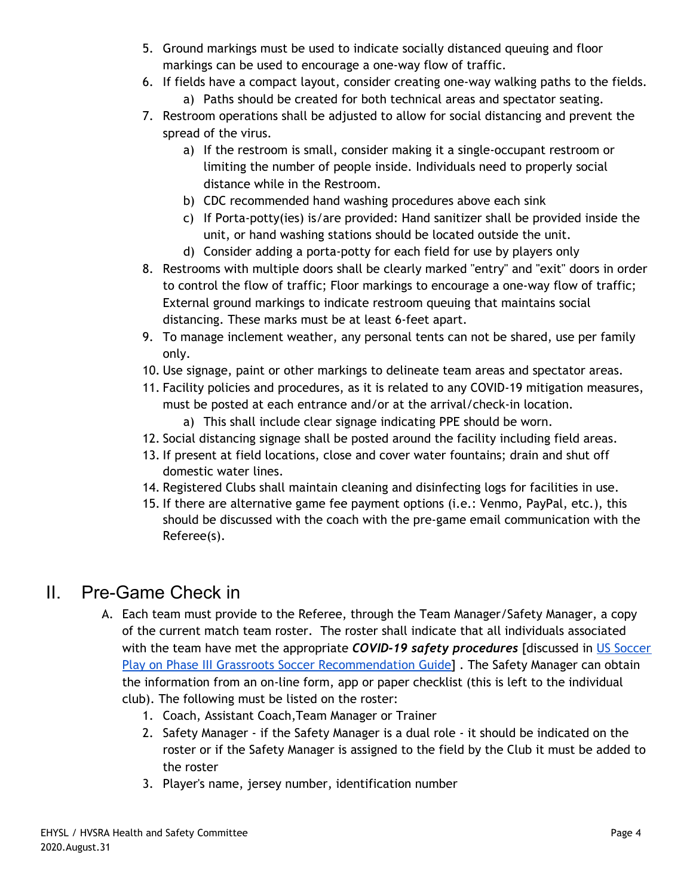- 5. Ground markings must be used to indicate socially distanced queuing and floor markings can be used to encourage a one-way flow of traffic.
- 6. If fields have a compact layout, consider creating one-way walking paths to the fields. a) Paths should be created for both technical areas and spectator seating.
- 7. Restroom operations shall be adjusted to allow for social distancing and prevent the spread of the virus.
	- a) If the restroom is small, consider making it a single-occupant restroom or limiting the number of people inside. Individuals need to properly social distance while in the Restroom.
	- b) CDC recommended hand washing procedures above each sink
	- c) If Porta-potty(ies) is/are provided: Hand sanitizer shall be provided inside the unit, or hand washing stations should be located outside the unit.
	- d) Consider adding a porta-potty for each field for use by players only
- 8. Restrooms with multiple doors shall be clearly marked "entry" and "exit" doors in order to control the flow of traffic; Floor markings to encourage a one-way flow of traffic; External ground markings to indicate restroom queuing that maintains social distancing. These marks must be at least 6-feet apart.
- 9. To manage inclement weather, any personal tents can not be shared, use per family only.
- 10. Use signage, paint or other markings to delineate team areas and spectator areas.
- 11. Facility policies and procedures, as it is related to any COVID-19 mitigation measures, must be posted at each entrance and/or at the arrival/check-in location.
	- a) This shall include clear signage indicating PPE should be worn.
- 12. Social distancing signage shall be posted around the facility including field areas.
- 13. If present at field locations, close and cover water fountains; drain and shut off domestic water lines.
- 14. Registered Clubs shall maintain cleaning and disinfecting logs for facilities in use.
- 15. If there are alternative game fee payment options (i.e.: Venmo, PayPal, etc.), this should be discussed with the coach with the pre-game email communication with the Referee(s).

## II. Pre-Game Check in

- A. Each team must provide to the Referee, through the Team Manager/Safety Manager, a copy of the current match team roster. The roster shall indicate that all individuals associated with the team have met the appropriate *COVID-19 safety procedures* [discussed in US [Soccer](https://www.ussoccer.com/playon/guides/phase-3-grassroots) Play on Phase III Grassroots Soccer [Recommendation](https://www.ussoccer.com/playon/guides/phase-3-grassroots) Guide]. The Safety Manager can obtain the information from an on-line form, app or paper checklist (this is left to the individual club). The following must be listed on the roster:
	- 1. Coach, Assistant Coach,Team Manager or Trainer
	- 2. Safety Manager if the Safety Manager is a dual role it should be indicated on the roster or if the Safety Manager is assigned to the field by the Club it must be added to the roster
	- 3. Player's name, jersey number, identification number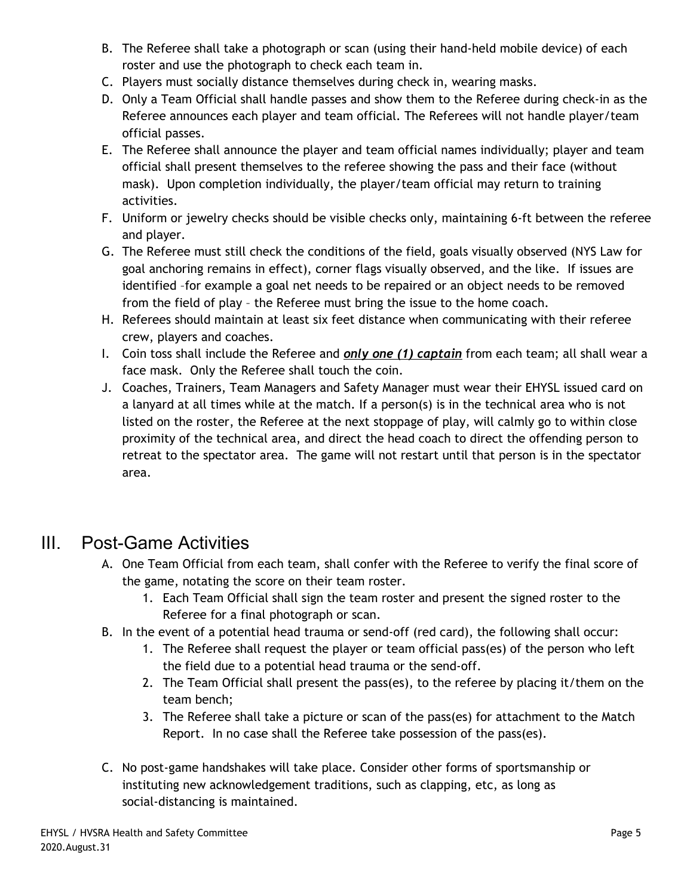- B. The Referee shall take a photograph or scan (using their hand-held mobile device) of each roster and use the photograph to check each team in.
- C. Players must socially distance themselves during check in, wearing masks.
- D. Only a Team Official shall handle passes and show them to the Referee during check-in as the Referee announces each player and team official. The Referees will not handle player/team official passes.
- E. The Referee shall announce the player and team official names individually; player and team official shall present themselves to the referee showing the pass and their face (without mask). Upon completion individually, the player/team official may return to training activities.
- F. Uniform or jewelry checks should be visible checks only, maintaining 6-ft between the referee and player.
- G. The Referee must still check the conditions of the field, goals visually observed (NYS Law for goal anchoring remains in effect), corner flags visually observed, and the like. If issues are identified –for example a goal net needs to be repaired or an object needs to be removed from the field of play – the Referee must bring the issue to the home coach.
- H. Referees should maintain at least six feet distance when communicating with their referee crew, players and coaches.
- I. Coin toss shall include the Referee and *only one (1) captain* from each team; all shall wear a face mask. Only the Referee shall touch the coin.
- J. Coaches, Trainers, Team Managers and Safety Manager must wear their EHYSL issued card on a lanyard at all times while at the match. If a person(s) is in the technical area who is not listed on the roster, the Referee at the next stoppage of play, will calmly go to within close proximity of the technical area, and direct the head coach to direct the offending person to retreat to the spectator area. The game will not restart until that person is in the spectator area.

## III. Post-Game Activities

- A. One Team Official from each team, shall confer with the Referee to verify the final score of the game, notating the score on their team roster.
	- 1. Each Team Official shall sign the team roster and present the signed roster to the Referee for a final photograph or scan.
- B. In the event of a potential head trauma or send-off (red card), the following shall occur:
	- 1. The Referee shall request the player or team official pass(es) of the person who left the field due to a potential head trauma or the send-off.
	- 2. The Team Official shall present the pass(es), to the referee by placing it/them on the team bench;
	- 3. The Referee shall take a picture or scan of the pass(es) for attachment to the Match Report. In no case shall the Referee take possession of the pass(es).
- C. No post-game handshakes will take place. Consider other forms of sportsmanship or instituting new acknowledgement traditions, such as clapping, etc, as long as social-distancing is maintained.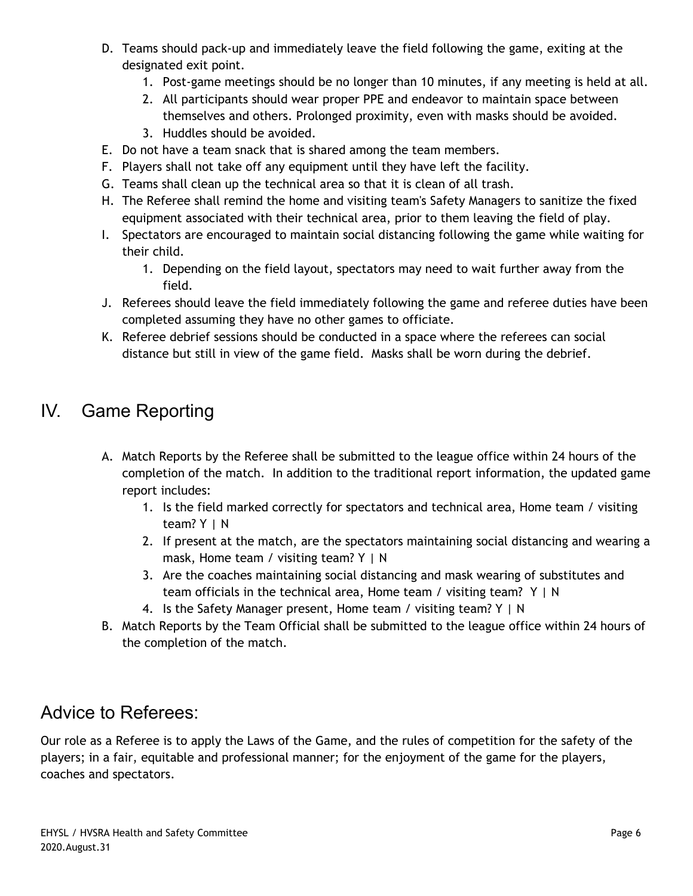- D. Teams should pack-up and immediately leave the field following the game, exiting at the designated exit point.
	- 1. Post-game meetings should be no longer than 10 minutes, if any meeting is held at all.
	- 2. All participants should wear proper PPE and endeavor to maintain space between themselves and others. Prolonged proximity, even with masks should be avoided.
	- 3. Huddles should be avoided.
- E. Do not have a team snack that is shared among the team members.
- F. Players shall not take off any equipment until they have left the facility.
- G. Teams shall clean up the technical area so that it is clean of all trash.
- H. The Referee shall remind the home and visiting team's Safety Managers to sanitize the fixed equipment associated with their technical area, prior to them leaving the field of play.
- I. Spectators are encouraged to maintain social distancing following the game while waiting for their child.
	- 1. Depending on the field layout, spectators may need to wait further away from the field.
- J. Referees should leave the field immediately following the game and referee duties have been completed assuming they have no other games to officiate.
- K. Referee debrief sessions should be conducted in a space where the referees can social distance but still in view of the game field. Masks shall be worn during the debrief.

## IV. Game Reporting

- A. Match Reports by the Referee shall be submitted to the league office within 24 hours of the completion of the match. In addition to the traditional report information, the updated game report includes:
	- 1. Is the field marked correctly for spectators and technical area, Home team / visiting team? Y | N
	- 2. If present at the match, are the spectators maintaining social distancing and wearing a mask, Home team / visiting team?  $Y \mid N$
	- 3. Are the coaches maintaining social distancing and mask wearing of substitutes and team officials in the technical area, Home team / visiting team? Y | N
	- 4. Is the Safety Manager present, Home team / visiting team? Y | N
- B. Match Reports by the Team Official shall be submitted to the league office within 24 hours of the completion of the match.

## Advice to Referees:

Our role as a Referee is to apply the Laws of the Game, and the rules of competition for the safety of the players; in a fair, equitable and professional manner; for the enjoyment of the game for the players, coaches and spectators.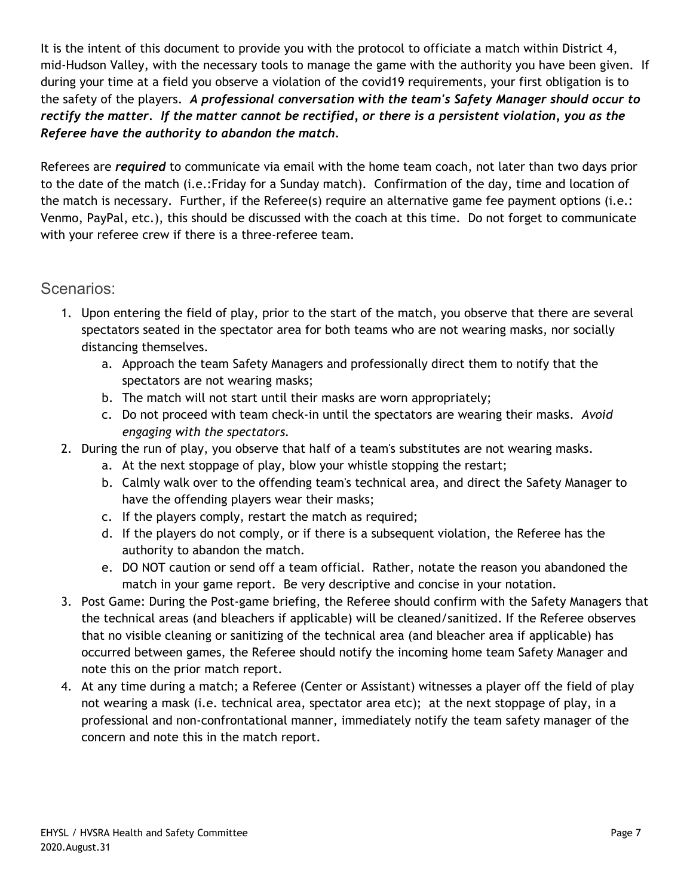It is the intent of this document to provide you with the protocol to officiate a match within District 4, mid-Hudson Valley, with the necessary tools to manage the game with the authority you have been given. If during your time at a field you observe a violation of the covid19 requirements, your first obligation is to the safety of the players. *A professional conversation with the team's Safety Manager should occur to* rectify the matter. If the matter cannot be rectified, or there is a persistent violation, you as the *Referee have the authority to abandon the match.*

Referees are *required* to communicate via email with the home team coach, not later than two days prior to the date of the match (i.e.:Friday for a Sunday match). Confirmation of the day, time and location of the match is necessary. Further, if the Referee(s) require an alternative game fee payment options (i.e.: Venmo, PayPal, etc.), this should be discussed with the coach at this time. Do not forget to communicate with your referee crew if there is a three-referee team.

#### Scenarios:

- 1. Upon entering the field of play, prior to the start of the match, you observe that there are several spectators seated in the spectator area for both teams who are not wearing masks, nor socially distancing themselves.
	- a. Approach the team Safety Managers and professionally direct them to notify that the spectators are not wearing masks;
	- b. The match will not start until their masks are worn appropriately;
	- c. Do not proceed with team check-in until the spectators are wearing their masks. *Avoid engaging with the spectators.*
- 2. During the run of play, you observe that half of a team's substitutes are not wearing masks.
	- a. At the next stoppage of play, blow your whistle stopping the restart;
	- b. Calmly walk over to the offending team's technical area, and direct the Safety Manager to have the offending players wear their masks;
	- c. If the players comply, restart the match as required;
	- d. If the players do not comply, or if there is a subsequent violation, the Referee has the authority to abandon the match.
	- e. DO NOT caution or send off a team official. Rather, notate the reason you abandoned the match in your game report. Be very descriptive and concise in your notation.
- 3. Post Game: During the Post-game briefing, the Referee should confirm with the Safety Managers that the technical areas (and bleachers if applicable) will be cleaned/sanitized. If the Referee observes that no visible cleaning or sanitizing of the technical area (and bleacher area if applicable) has occurred between games, the Referee should notify the incoming home team Safety Manager and note this on the prior match report.
- 4. At any time during a match; a Referee (Center or Assistant) witnesses a player off the field of play not wearing a mask (i.e. technical area, spectator area etc); at the next stoppage of play, in a professional and non-confrontational manner, immediately notify the team safety manager of the concern and note this in the match report.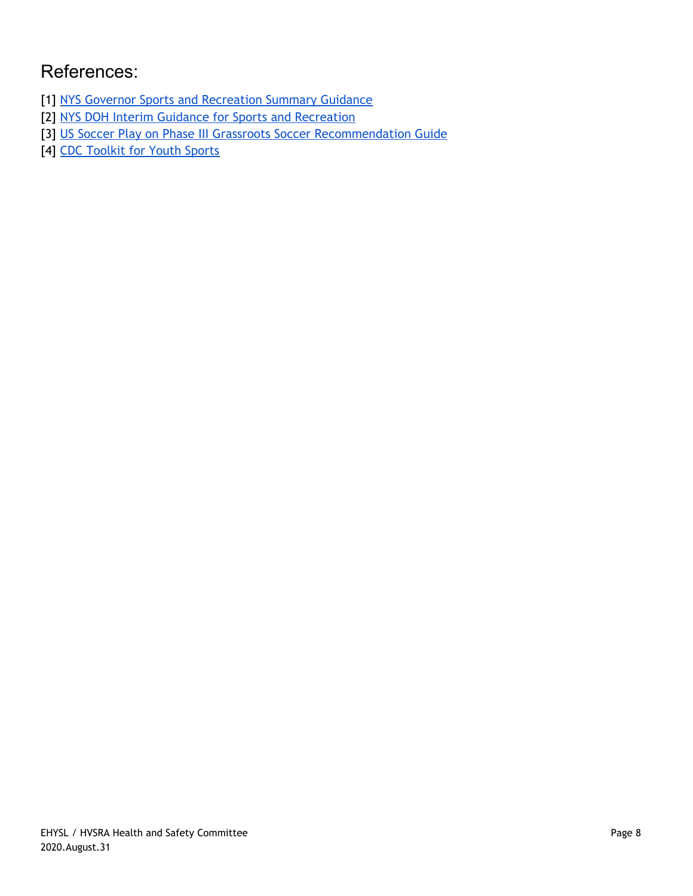# References:

- [1] NYS Governor Sports and [Recreation](https://www.governor.ny.gov/sites/governor.ny.gov/files/atoms/files/SportsAndRecreationSummaryGuidance.pdf) Summary Guidance
- [2] NYS DOH [Interim Guidance](https://www.governor.ny.gov/sites/governor.ny.gov/files/atoms/files/SportsAndRecreationMasterGuidance.pdf) for Sports and Recreation
- [3] US Soccer Play on Phase III Grassroots Soccer [Recommendation](https://www.ussoccer.com/playon/guides/phase-3-grassroots) Guide
- [4] [CDC Toolkit](https://www.cdc.gov/coronavirus/2019-ncov/communication/toolkits/youth-sports.html) for Youth Sports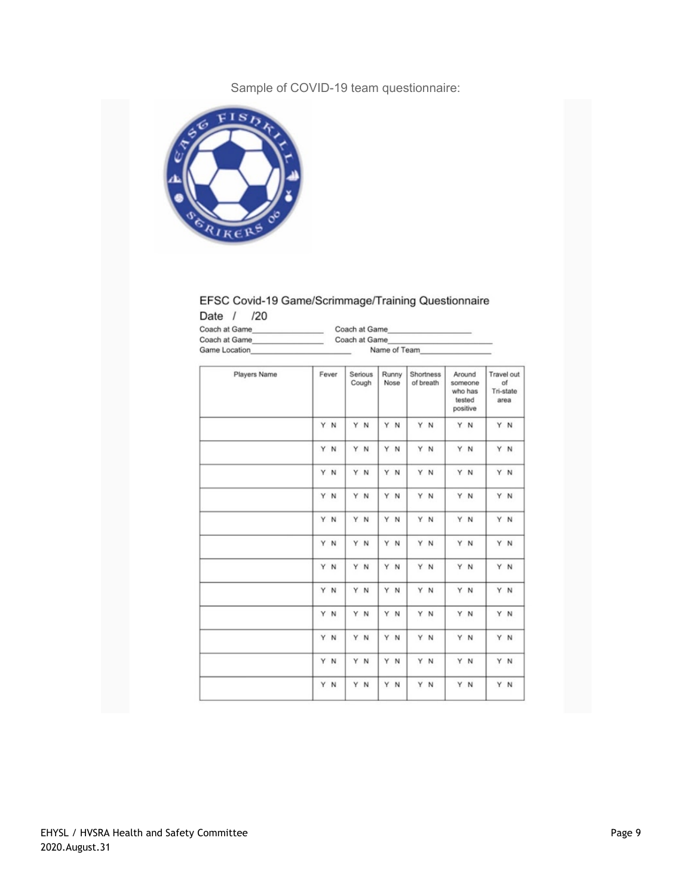#### Sample of COVID-19 team questionnaire:



#### EFSC Covid-19 Game/Scrimmage/Training Questionnaire Date / /20

| $- - - -$<br>.       |               |  |
|----------------------|---------------|--|
| Coach at Game        | Coach at Game |  |
| Coach at Game        | Coach at Game |  |
| <b>Game Location</b> | Name of Team  |  |

| Players Name | Fever | Serious<br>Cough | Runny<br>Nose | Shortness<br>of breath | Around<br>someone<br>who has<br>tested<br>positive | Travel out<br>of<br>Tri-state<br>area |
|--------------|-------|------------------|---------------|------------------------|----------------------------------------------------|---------------------------------------|
|              | Y N   | Y N              | Y N           | Y N                    | Y N                                                | Y N                                   |
|              | Y N   | Y N              | Y<br>N        | Y N                    | Y N                                                | YN                                    |
|              | Y N   | Y N              | Y N           | Y N                    | Y N                                                | Y N                                   |
|              | Y N   | Y N              | Y N           | Y N                    | Y N                                                | Y N                                   |
|              | Y N   | Y N              | Y N           | YN                     | Y N                                                | Y N                                   |
|              | Y N   | Y N              | Y<br>N        | Y N                    | Y N                                                | Y N                                   |
|              | Y N   | Y N              | Y N           | YN                     | Y N                                                | Y N                                   |
|              | Y N   | Y N              | Y N           | Y N                    | Y N                                                | Y N                                   |
|              | Y N   | Y N              | Y N           | Y N                    | Y N                                                | Y N                                   |
|              | Y N   | Y N              | Y<br>N        | Y N                    | Y N                                                | Y N                                   |
|              | Y N   | Y N              | Y<br>N        | Y N                    | Y N                                                | Y N                                   |
|              | Y N   | Y N              | Y N           | Y N                    | Y N                                                | YN                                    |